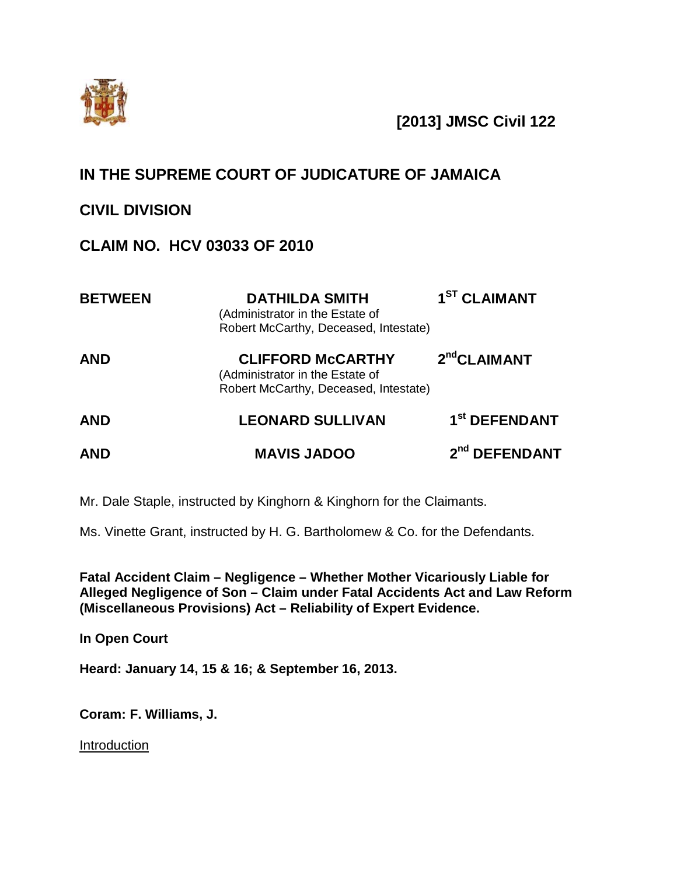

# **[2013] JMSC Civil 122**

# **IN THE SUPREME COURT OF JUDICATURE OF JAMAICA**

## **CIVIL DIVISION**

# **CLAIM NO. HCV 03033 OF 2010**

| <b>BETWEEN</b> | <b>DATHILDA SMITH</b><br>(Administrator in the Estate of<br>Robert McCarthy, Deceased, Intestate)    | 1 <sup>ST</sup> CLAIMANT  |
|----------------|------------------------------------------------------------------------------------------------------|---------------------------|
| <b>AND</b>     | <b>CLIFFORD McCARTHY</b><br>(Administrator in the Estate of<br>Robert McCarthy, Deceased, Intestate) | 2 <sup>nd</sup> CLAIMANT  |
| <b>AND</b>     | <b>LEONARD SULLIVAN</b>                                                                              | 1 <sup>st</sup> DEFENDANT |
| <b>AND</b>     | <b>MAVIS JADOO</b>                                                                                   | 2 <sup>nd</sup> DEFENDANT |

Mr. Dale Staple, instructed by Kinghorn & Kinghorn for the Claimants.

Ms. Vinette Grant, instructed by H. G. Bartholomew & Co. for the Defendants.

**Fatal Accident Claim – Negligence – Whether Mother Vicariously Liable for Alleged Negligence of Son – Claim under Fatal Accidents Act and Law Reform (Miscellaneous Provisions) Act – Reliability of Expert Evidence.**

**In Open Court**

**Heard: January 14, 15 & 16; & September 16, 2013.**

**Coram: F. Williams, J.**

**Introduction**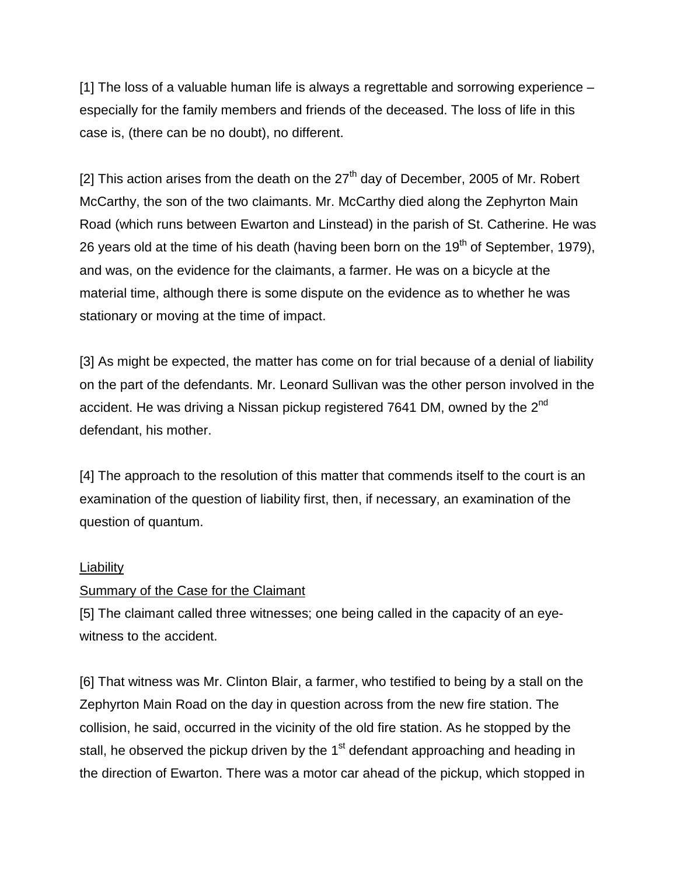[1] The loss of a valuable human life is always a regrettable and sorrowing experience – especially for the family members and friends of the deceased. The loss of life in this case is, (there can be no doubt), no different.

[2] This action arises from the death on the  $27<sup>th</sup>$  day of December, 2005 of Mr. Robert McCarthy, the son of the two claimants. Mr. McCarthy died along the Zephyrton Main Road (which runs between Ewarton and Linstead) in the parish of St. Catherine. He was 26 years old at the time of his death (having been born on the  $19<sup>th</sup>$  of September, 1979), and was, on the evidence for the claimants, a farmer. He was on a bicycle at the material time, although there is some dispute on the evidence as to whether he was stationary or moving at the time of impact.

[3] As might be expected, the matter has come on for trial because of a denial of liability on the part of the defendants. Mr. Leonard Sullivan was the other person involved in the accident. He was driving a Nissan pickup registered 7641 DM, owned by the 2<sup>nd</sup> defendant, his mother.

[4] The approach to the resolution of this matter that commends itself to the court is an examination of the question of liability first, then, if necessary, an examination of the question of quantum.

#### **Liability**

#### Summary of the Case for the Claimant

[5] The claimant called three witnesses; one being called in the capacity of an eyewitness to the accident.

[6] That witness was Mr. Clinton Blair, a farmer, who testified to being by a stall on the Zephyrton Main Road on the day in question across from the new fire station. The collision, he said, occurred in the vicinity of the old fire station. As he stopped by the stall, he observed the pickup driven by the  $1<sup>st</sup>$  defendant approaching and heading in the direction of Ewarton. There was a motor car ahead of the pickup, which stopped in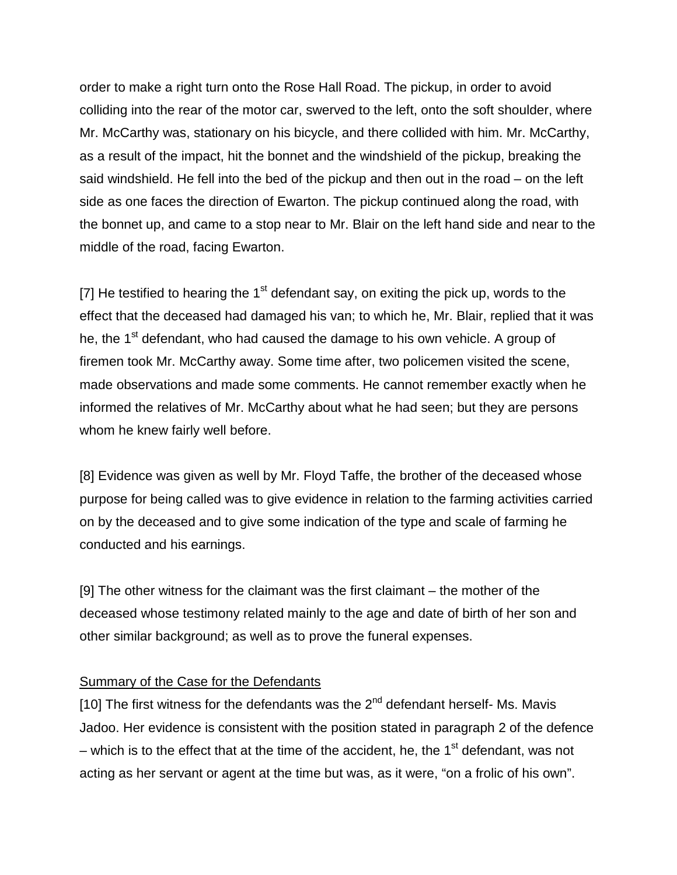order to make a right turn onto the Rose Hall Road. The pickup, in order to avoid colliding into the rear of the motor car, swerved to the left, onto the soft shoulder, where Mr. McCarthy was, stationary on his bicycle, and there collided with him. Mr. McCarthy, as a result of the impact, hit the bonnet and the windshield of the pickup, breaking the said windshield. He fell into the bed of the pickup and then out in the road – on the left side as one faces the direction of Ewarton. The pickup continued along the road, with the bonnet up, and came to a stop near to Mr. Blair on the left hand side and near to the middle of the road, facing Ewarton.

[7] He testified to hearing the  $1<sup>st</sup>$  defendant say, on exiting the pick up, words to the effect that the deceased had damaged his van; to which he, Mr. Blair, replied that it was he, the 1<sup>st</sup> defendant, who had caused the damage to his own vehicle. A group of firemen took Mr. McCarthy away. Some time after, two policemen visited the scene, made observations and made some comments. He cannot remember exactly when he informed the relatives of Mr. McCarthy about what he had seen; but they are persons whom he knew fairly well before.

[8] Evidence was given as well by Mr. Floyd Taffe, the brother of the deceased whose purpose for being called was to give evidence in relation to the farming activities carried on by the deceased and to give some indication of the type and scale of farming he conducted and his earnings.

[9] The other witness for the claimant was the first claimant – the mother of the deceased whose testimony related mainly to the age and date of birth of her son and other similar background; as well as to prove the funeral expenses.

#### Summary of the Case for the Defendants

[10] The first witness for the defendants was the  $2^{nd}$  defendant herself- Ms. Mavis Jadoo. Her evidence is consistent with the position stated in paragraph 2 of the defence – which is to the effect that at the time of the accident, he, the  $1<sup>st</sup>$  defendant, was not acting as her servant or agent at the time but was, as it were, "on a frolic of his own".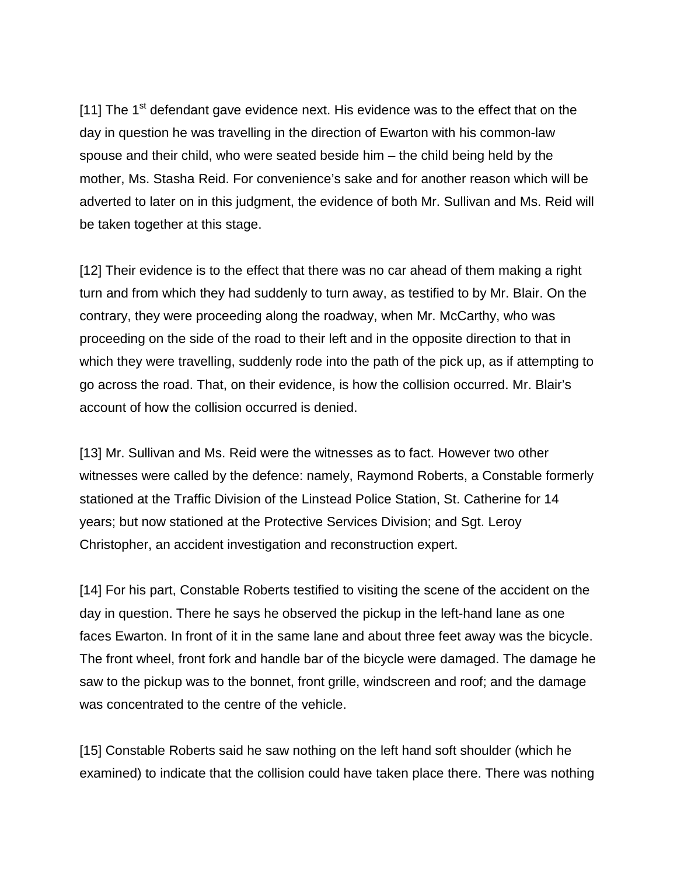[11] The  $1<sup>st</sup>$  defendant gave evidence next. His evidence was to the effect that on the day in question he was travelling in the direction of Ewarton with his common-law spouse and their child, who were seated beside him – the child being held by the mother, Ms. Stasha Reid. For convenience's sake and for another reason which will be adverted to later on in this judgment, the evidence of both Mr. Sullivan and Ms. Reid will be taken together at this stage.

[12] Their evidence is to the effect that there was no car ahead of them making a right turn and from which they had suddenly to turn away, as testified to by Mr. Blair. On the contrary, they were proceeding along the roadway, when Mr. McCarthy, who was proceeding on the side of the road to their left and in the opposite direction to that in which they were travelling, suddenly rode into the path of the pick up, as if attempting to go across the road. That, on their evidence, is how the collision occurred. Mr. Blair's account of how the collision occurred is denied.

[13] Mr. Sullivan and Ms. Reid were the witnesses as to fact. However two other witnesses were called by the defence: namely, Raymond Roberts, a Constable formerly stationed at the Traffic Division of the Linstead Police Station, St. Catherine for 14 years; but now stationed at the Protective Services Division; and Sgt. Leroy Christopher, an accident investigation and reconstruction expert.

[14] For his part, Constable Roberts testified to visiting the scene of the accident on the day in question. There he says he observed the pickup in the left-hand lane as one faces Ewarton. In front of it in the same lane and about three feet away was the bicycle. The front wheel, front fork and handle bar of the bicycle were damaged. The damage he saw to the pickup was to the bonnet, front grille, windscreen and roof; and the damage was concentrated to the centre of the vehicle.

[15] Constable Roberts said he saw nothing on the left hand soft shoulder (which he examined) to indicate that the collision could have taken place there. There was nothing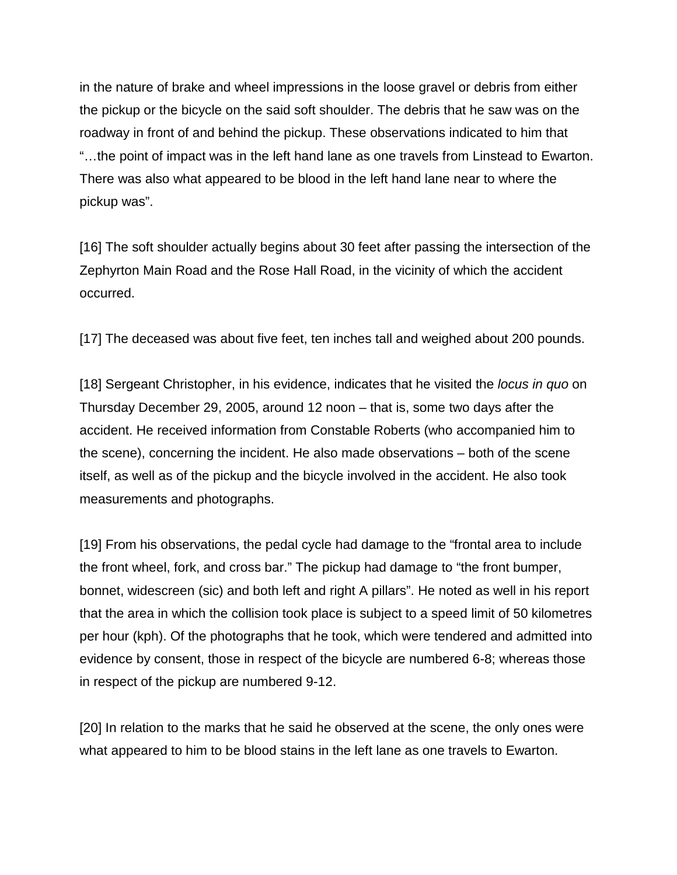in the nature of brake and wheel impressions in the loose gravel or debris from either the pickup or the bicycle on the said soft shoulder. The debris that he saw was on the roadway in front of and behind the pickup. These observations indicated to him that "…the point of impact was in the left hand lane as one travels from Linstead to Ewarton. There was also what appeared to be blood in the left hand lane near to where the pickup was".

[16] The soft shoulder actually begins about 30 feet after passing the intersection of the Zephyrton Main Road and the Rose Hall Road, in the vicinity of which the accident occurred.

[17] The deceased was about five feet, ten inches tall and weighed about 200 pounds.

[18] Sergeant Christopher, in his evidence, indicates that he visited the *locus in quo* on Thursday December 29, 2005, around 12 noon – that is, some two days after the accident. He received information from Constable Roberts (who accompanied him to the scene), concerning the incident. He also made observations – both of the scene itself, as well as of the pickup and the bicycle involved in the accident. He also took measurements and photographs.

[19] From his observations, the pedal cycle had damage to the "frontal area to include the front wheel, fork, and cross bar." The pickup had damage to "the front bumper, bonnet, widescreen (sic) and both left and right A pillars". He noted as well in his report that the area in which the collision took place is subject to a speed limit of 50 kilometres per hour (kph). Of the photographs that he took, which were tendered and admitted into evidence by consent, those in respect of the bicycle are numbered 6-8; whereas those in respect of the pickup are numbered 9-12.

[20] In relation to the marks that he said he observed at the scene, the only ones were what appeared to him to be blood stains in the left lane as one travels to Ewarton.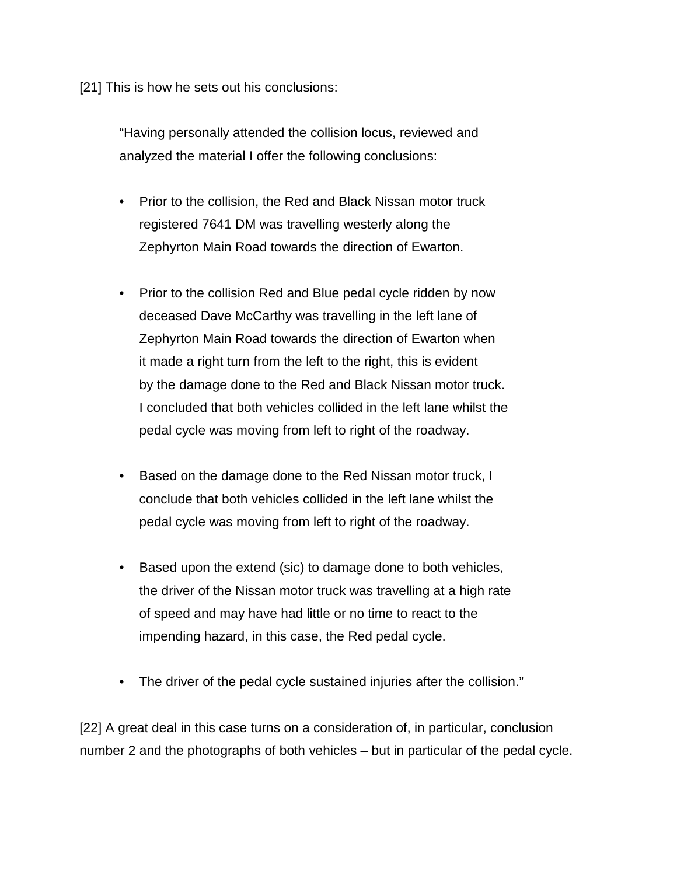[21] This is how he sets out his conclusions:

"Having personally attended the collision locus, reviewed and analyzed the material I offer the following conclusions:

- Prior to the collision, the Red and Black Nissan motor truck registered 7641 DM was travelling westerly along the Zephyrton Main Road towards the direction of Ewarton.
- Prior to the collision Red and Blue pedal cycle ridden by now deceased Dave McCarthy was travelling in the left lane of Zephyrton Main Road towards the direction of Ewarton when it made a right turn from the left to the right, this is evident by the damage done to the Red and Black Nissan motor truck. I concluded that both vehicles collided in the left lane whilst the pedal cycle was moving from left to right of the roadway.
- Based on the damage done to the Red Nissan motor truck, I conclude that both vehicles collided in the left lane whilst the pedal cycle was moving from left to right of the roadway.
- Based upon the extend (sic) to damage done to both vehicles, the driver of the Nissan motor truck was travelling at a high rate of speed and may have had little or no time to react to the impending hazard, in this case, the Red pedal cycle.
- The driver of the pedal cycle sustained injuries after the collision."

[22] A great deal in this case turns on a consideration of, in particular, conclusion number 2 and the photographs of both vehicles – but in particular of the pedal cycle.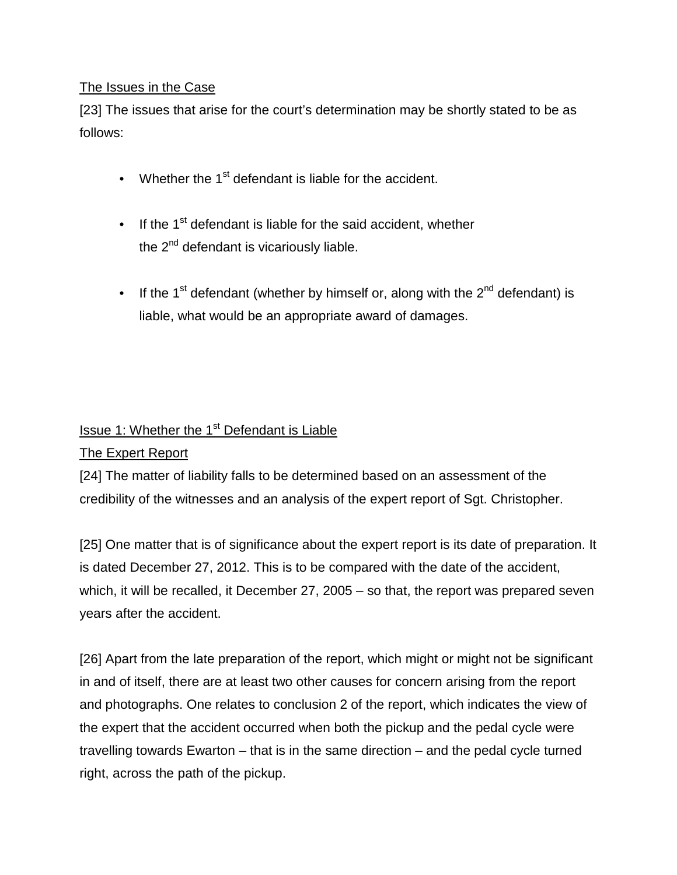### The Issues in the Case

[23] The issues that arise for the court's determination may be shortly stated to be as follows:

- Whether the  $1<sup>st</sup>$  defendant is liable for the accident.
- If the 1<sup>st</sup> defendant is liable for the said accident, whether the  $2^{nd}$  defendant is vicariously liable.
- If the 1<sup>st</sup> defendant (whether by himself or, along with the  $2<sup>nd</sup>$  defendant) is liable, what would be an appropriate award of damages.

# Issue 1: Whether the 1<sup>st</sup> Defendant is Liable

### The Expert Report

[24] The matter of liability falls to be determined based on an assessment of the credibility of the witnesses and an analysis of the expert report of Sgt. Christopher.

[25] One matter that is of significance about the expert report is its date of preparation. It is dated December 27, 2012. This is to be compared with the date of the accident, which, it will be recalled, it December 27, 2005 – so that, the report was prepared seven years after the accident.

[26] Apart from the late preparation of the report, which might or might not be significant in and of itself, there are at least two other causes for concern arising from the report and photographs. One relates to conclusion 2 of the report, which indicates the view of the expert that the accident occurred when both the pickup and the pedal cycle were travelling towards Ewarton – that is in the same direction – and the pedal cycle turned right, across the path of the pickup.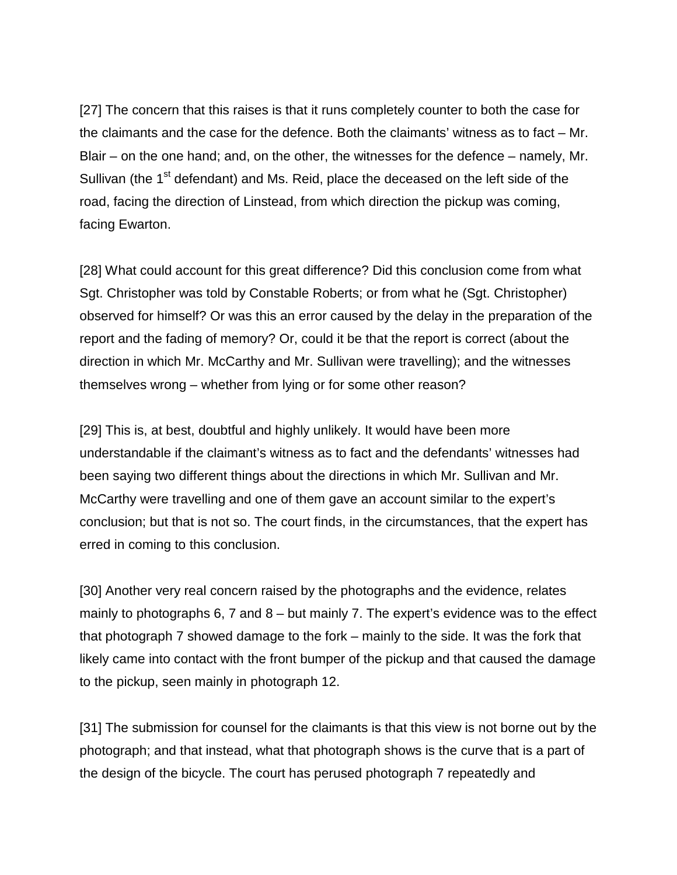[27] The concern that this raises is that it runs completely counter to both the case for the claimants and the case for the defence. Both the claimants' witness as to fact – Mr. Blair – on the one hand; and, on the other, the witnesses for the defence – namely, Mr. Sullivan (the 1<sup>st</sup> defendant) and Ms. Reid, place the deceased on the left side of the road, facing the direction of Linstead, from which direction the pickup was coming, facing Ewarton.

[28] What could account for this great difference? Did this conclusion come from what Sgt. Christopher was told by Constable Roberts; or from what he (Sgt. Christopher) observed for himself? Or was this an error caused by the delay in the preparation of the report and the fading of memory? Or, could it be that the report is correct (about the direction in which Mr. McCarthy and Mr. Sullivan were travelling); and the witnesses themselves wrong – whether from lying or for some other reason?

[29] This is, at best, doubtful and highly unlikely. It would have been more understandable if the claimant's witness as to fact and the defendants' witnesses had been saying two different things about the directions in which Mr. Sullivan and Mr. McCarthy were travelling and one of them gave an account similar to the expert's conclusion; but that is not so. The court finds, in the circumstances, that the expert has erred in coming to this conclusion.

[30] Another very real concern raised by the photographs and the evidence, relates mainly to photographs 6, 7 and 8 – but mainly 7. The expert's evidence was to the effect that photograph 7 showed damage to the fork – mainly to the side. It was the fork that likely came into contact with the front bumper of the pickup and that caused the damage to the pickup, seen mainly in photograph 12.

[31] The submission for counsel for the claimants is that this view is not borne out by the photograph; and that instead, what that photograph shows is the curve that is a part of the design of the bicycle. The court has perused photograph 7 repeatedly and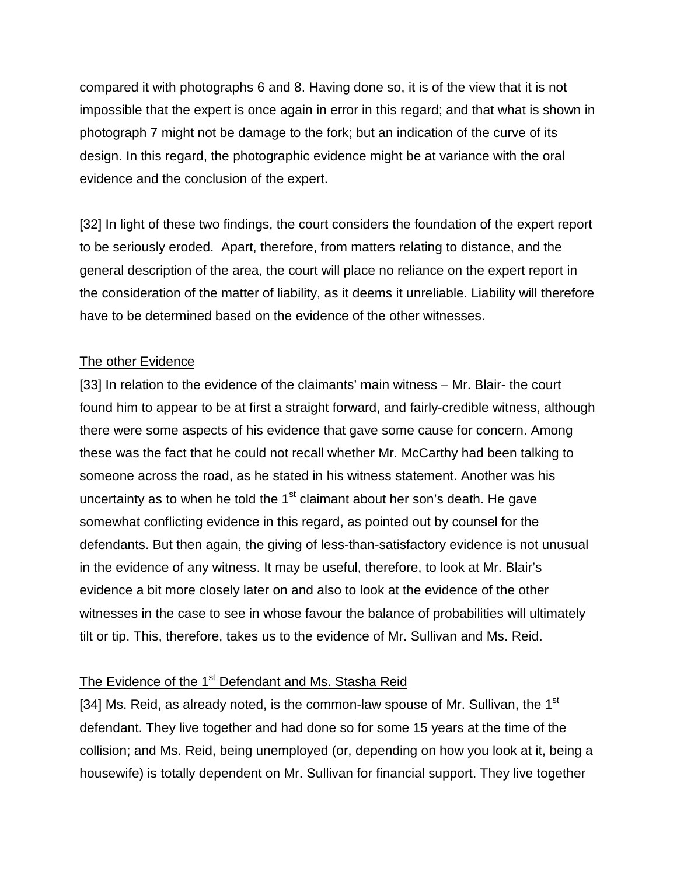compared it with photographs 6 and 8. Having done so, it is of the view that it is not impossible that the expert is once again in error in this regard; and that what is shown in photograph 7 might not be damage to the fork; but an indication of the curve of its design. In this regard, the photographic evidence might be at variance with the oral evidence and the conclusion of the expert.

[32] In light of these two findings, the court considers the foundation of the expert report to be seriously eroded. Apart, therefore, from matters relating to distance, and the general description of the area, the court will place no reliance on the expert report in the consideration of the matter of liability, as it deems it unreliable. Liability will therefore have to be determined based on the evidence of the other witnesses.

#### The other Evidence

[33] In relation to the evidence of the claimants' main witness – Mr. Blair- the court found him to appear to be at first a straight forward, and fairly-credible witness, although there were some aspects of his evidence that gave some cause for concern. Among these was the fact that he could not recall whether Mr. McCarthy had been talking to someone across the road, as he stated in his witness statement. Another was his uncertainty as to when he told the  $1<sup>st</sup>$  claimant about her son's death. He gave somewhat conflicting evidence in this regard, as pointed out by counsel for the defendants. But then again, the giving of less-than-satisfactory evidence is not unusual in the evidence of any witness. It may be useful, therefore, to look at Mr. Blair's evidence a bit more closely later on and also to look at the evidence of the other witnesses in the case to see in whose favour the balance of probabilities will ultimately tilt or tip. This, therefore, takes us to the evidence of Mr. Sullivan and Ms. Reid.

### The Evidence of the 1<sup>st</sup> Defendant and Ms. Stasha Reid

[34] Ms. Reid, as already noted, is the common-law spouse of Mr. Sullivan, the  $1<sup>st</sup>$ defendant. They live together and had done so for some 15 years at the time of the collision; and Ms. Reid, being unemployed (or, depending on how you look at it, being a housewife) is totally dependent on Mr. Sullivan for financial support. They live together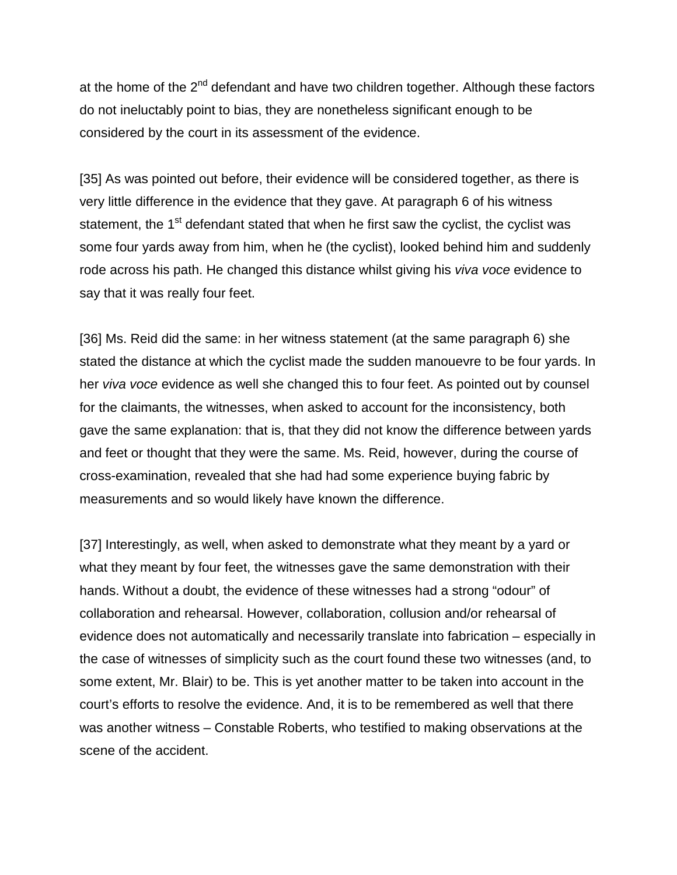at the home of the  $2^{nd}$  defendant and have two children together. Although these factors do not ineluctably point to bias, they are nonetheless significant enough to be considered by the court in its assessment of the evidence.

[35] As was pointed out before, their evidence will be considered together, as there is very little difference in the evidence that they gave. At paragraph 6 of his witness statement, the  $1<sup>st</sup>$  defendant stated that when he first saw the cyclist, the cyclist was some four yards away from him, when he (the cyclist), looked behind him and suddenly rode across his path. He changed this distance whilst giving his *viva voce* evidence to say that it was really four feet.

[36] Ms. Reid did the same: in her witness statement (at the same paragraph 6) she stated the distance at which the cyclist made the sudden manouevre to be four yards. In her *viva voce* evidence as well she changed this to four feet. As pointed out by counsel for the claimants, the witnesses, when asked to account for the inconsistency, both gave the same explanation: that is, that they did not know the difference between yards and feet or thought that they were the same. Ms. Reid, however, during the course of cross-examination, revealed that she had had some experience buying fabric by measurements and so would likely have known the difference.

[37] Interestingly, as well, when asked to demonstrate what they meant by a yard or what they meant by four feet, the witnesses gave the same demonstration with their hands. Without a doubt, the evidence of these witnesses had a strong "odour" of collaboration and rehearsal. However, collaboration, collusion and/or rehearsal of evidence does not automatically and necessarily translate into fabrication – especially in the case of witnesses of simplicity such as the court found these two witnesses (and, to some extent, Mr. Blair) to be. This is yet another matter to be taken into account in the court's efforts to resolve the evidence. And, it is to be remembered as well that there was another witness – Constable Roberts, who testified to making observations at the scene of the accident.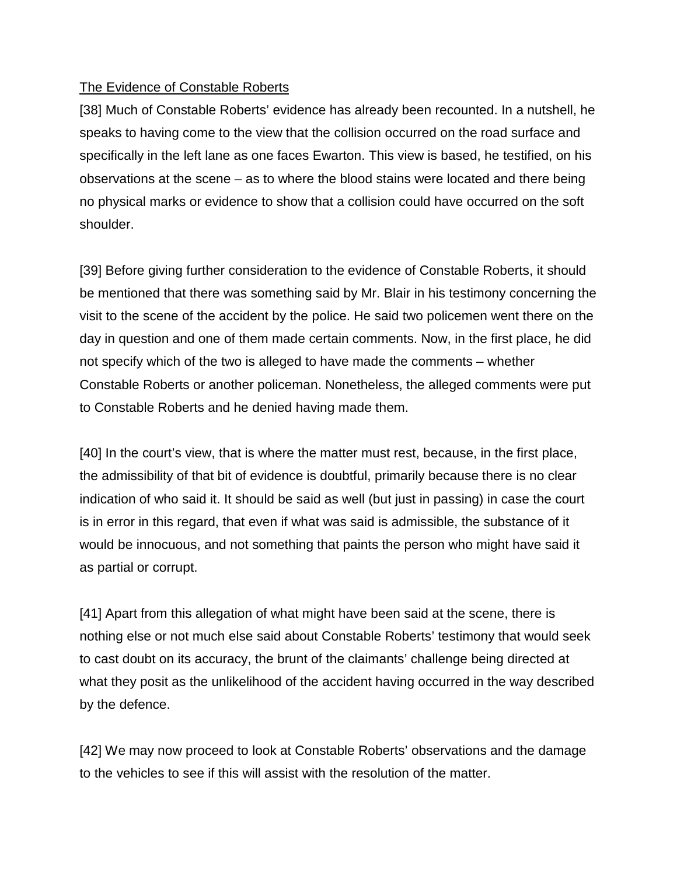#### The Evidence of Constable Roberts

[38] Much of Constable Roberts' evidence has already been recounted. In a nutshell, he speaks to having come to the view that the collision occurred on the road surface and specifically in the left lane as one faces Ewarton. This view is based, he testified, on his observations at the scene – as to where the blood stains were located and there being no physical marks or evidence to show that a collision could have occurred on the soft shoulder.

[39] Before giving further consideration to the evidence of Constable Roberts, it should be mentioned that there was something said by Mr. Blair in his testimony concerning the visit to the scene of the accident by the police. He said two policemen went there on the day in question and one of them made certain comments. Now, in the first place, he did not specify which of the two is alleged to have made the comments – whether Constable Roberts or another policeman. Nonetheless, the alleged comments were put to Constable Roberts and he denied having made them.

[40] In the court's view, that is where the matter must rest, because, in the first place, the admissibility of that bit of evidence is doubtful, primarily because there is no clear indication of who said it. It should be said as well (but just in passing) in case the court is in error in this regard, that even if what was said is admissible, the substance of it would be innocuous, and not something that paints the person who might have said it as partial or corrupt.

[41] Apart from this allegation of what might have been said at the scene, there is nothing else or not much else said about Constable Roberts' testimony that would seek to cast doubt on its accuracy, the brunt of the claimants' challenge being directed at what they posit as the unlikelihood of the accident having occurred in the way described by the defence.

[42] We may now proceed to look at Constable Roberts' observations and the damage to the vehicles to see if this will assist with the resolution of the matter.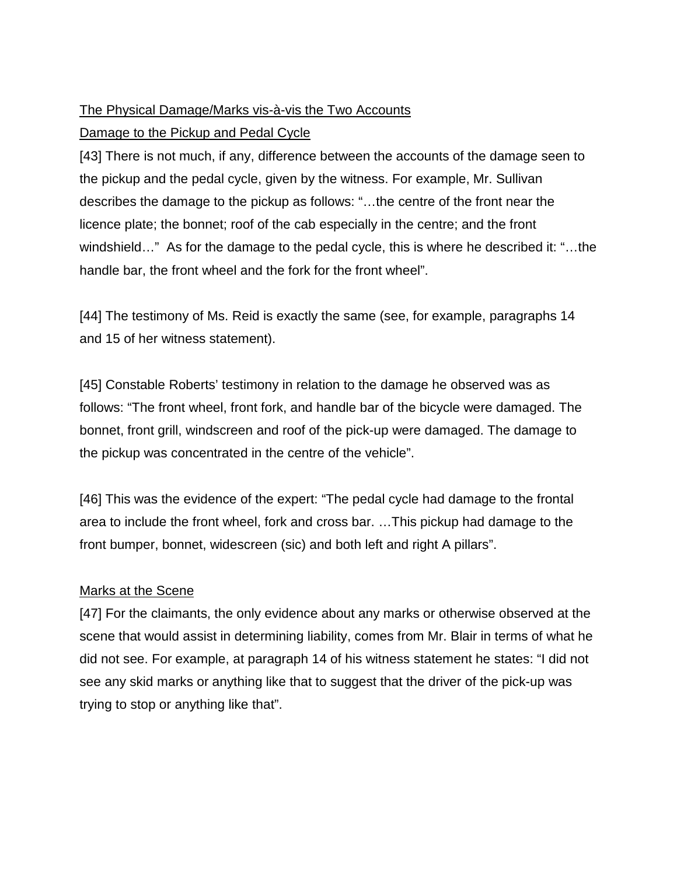# The Physical Damage/Marks vis-à-vis the Two Accounts

### Damage to the Pickup and Pedal Cycle

[43] There is not much, if any, difference between the accounts of the damage seen to the pickup and the pedal cycle, given by the witness. For example, Mr. Sullivan describes the damage to the pickup as follows: "…the centre of the front near the licence plate; the bonnet; roof of the cab especially in the centre; and the front windshield…" As for the damage to the pedal cycle, this is where he described it: "…the handle bar, the front wheel and the fork for the front wheel".

[44] The testimony of Ms. Reid is exactly the same (see, for example, paragraphs 14 and 15 of her witness statement).

[45] Constable Roberts' testimony in relation to the damage he observed was as follows: "The front wheel, front fork, and handle bar of the bicycle were damaged. The bonnet, front grill, windscreen and roof of the pick-up were damaged. The damage to the pickup was concentrated in the centre of the vehicle".

[46] This was the evidence of the expert: "The pedal cycle had damage to the frontal area to include the front wheel, fork and cross bar. …This pickup had damage to the front bumper, bonnet, widescreen (sic) and both left and right A pillars".

### Marks at the Scene

[47] For the claimants, the only evidence about any marks or otherwise observed at the scene that would assist in determining liability, comes from Mr. Blair in terms of what he did not see. For example, at paragraph 14 of his witness statement he states: "I did not see any skid marks or anything like that to suggest that the driver of the pick-up was trying to stop or anything like that".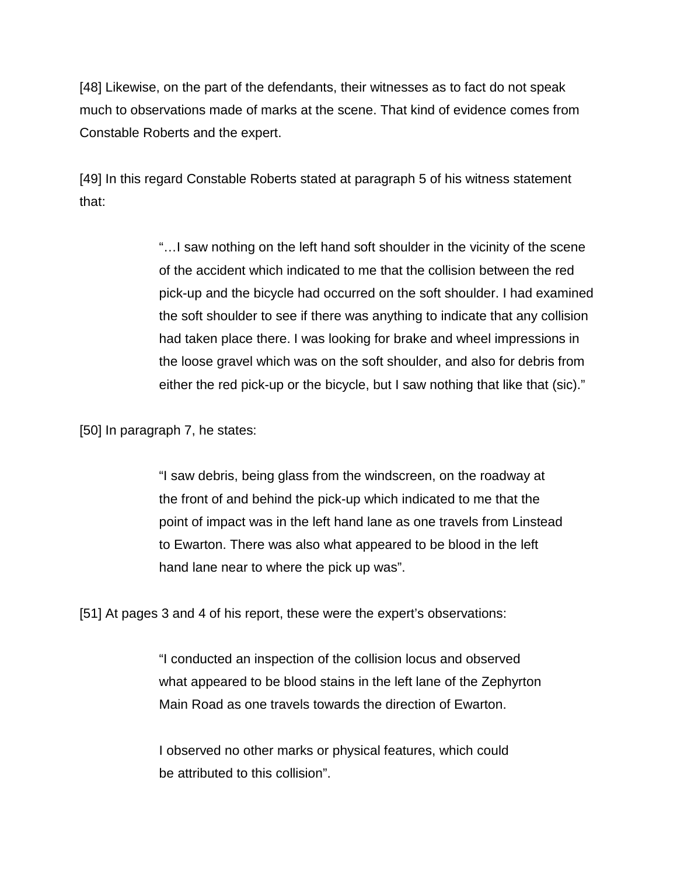[48] Likewise, on the part of the defendants, their witnesses as to fact do not speak much to observations made of marks at the scene. That kind of evidence comes from Constable Roberts and the expert.

[49] In this regard Constable Roberts stated at paragraph 5 of his witness statement that:

> "…I saw nothing on the left hand soft shoulder in the vicinity of the scene of the accident which indicated to me that the collision between the red pick-up and the bicycle had occurred on the soft shoulder. I had examined the soft shoulder to see if there was anything to indicate that any collision had taken place there. I was looking for brake and wheel impressions in the loose gravel which was on the soft shoulder, and also for debris from either the red pick-up or the bicycle, but I saw nothing that like that (sic)."

[50] In paragraph 7, he states:

"I saw debris, being glass from the windscreen, on the roadway at the front of and behind the pick-up which indicated to me that the point of impact was in the left hand lane as one travels from Linstead to Ewarton. There was also what appeared to be blood in the left hand lane near to where the pick up was".

[51] At pages 3 and 4 of his report, these were the expert's observations:

"I conducted an inspection of the collision locus and observed what appeared to be blood stains in the left lane of the Zephyrton Main Road as one travels towards the direction of Ewarton.

I observed no other marks or physical features, which could be attributed to this collision".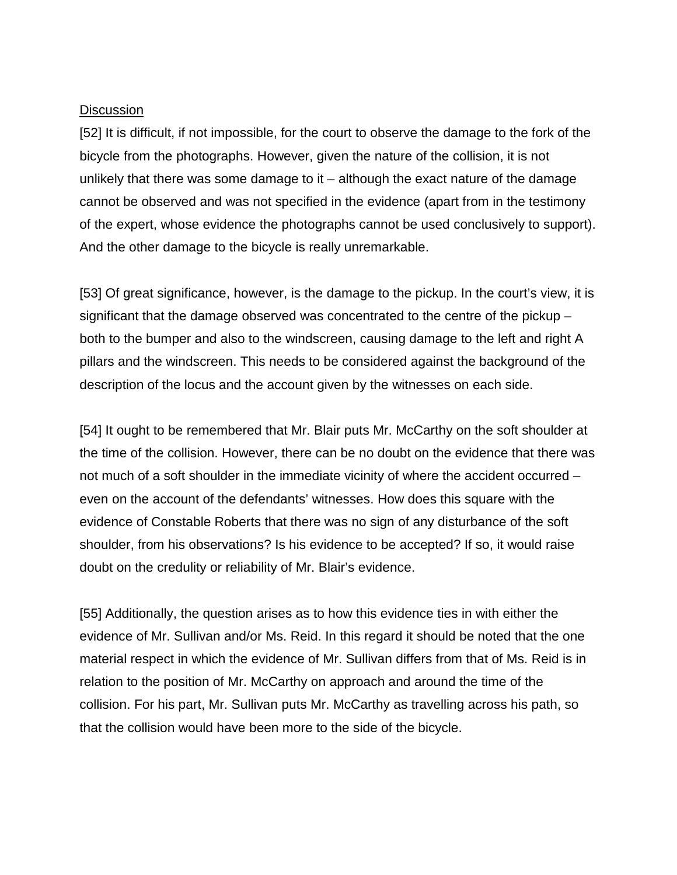#### **Discussion**

[52] It is difficult, if not impossible, for the court to observe the damage to the fork of the bicycle from the photographs. However, given the nature of the collision, it is not unlikely that there was some damage to it – although the exact nature of the damage cannot be observed and was not specified in the evidence (apart from in the testimony of the expert, whose evidence the photographs cannot be used conclusively to support). And the other damage to the bicycle is really unremarkable.

[53] Of great significance, however, is the damage to the pickup. In the court's view, it is significant that the damage observed was concentrated to the centre of the pickup – both to the bumper and also to the windscreen, causing damage to the left and right A pillars and the windscreen. This needs to be considered against the background of the description of the locus and the account given by the witnesses on each side.

[54] It ought to be remembered that Mr. Blair puts Mr. McCarthy on the soft shoulder at the time of the collision. However, there can be no doubt on the evidence that there was not much of a soft shoulder in the immediate vicinity of where the accident occurred – even on the account of the defendants' witnesses. How does this square with the evidence of Constable Roberts that there was no sign of any disturbance of the soft shoulder, from his observations? Is his evidence to be accepted? If so, it would raise doubt on the credulity or reliability of Mr. Blair's evidence.

[55] Additionally, the question arises as to how this evidence ties in with either the evidence of Mr. Sullivan and/or Ms. Reid. In this regard it should be noted that the one material respect in which the evidence of Mr. Sullivan differs from that of Ms. Reid is in relation to the position of Mr. McCarthy on approach and around the time of the collision. For his part, Mr. Sullivan puts Mr. McCarthy as travelling across his path, so that the collision would have been more to the side of the bicycle.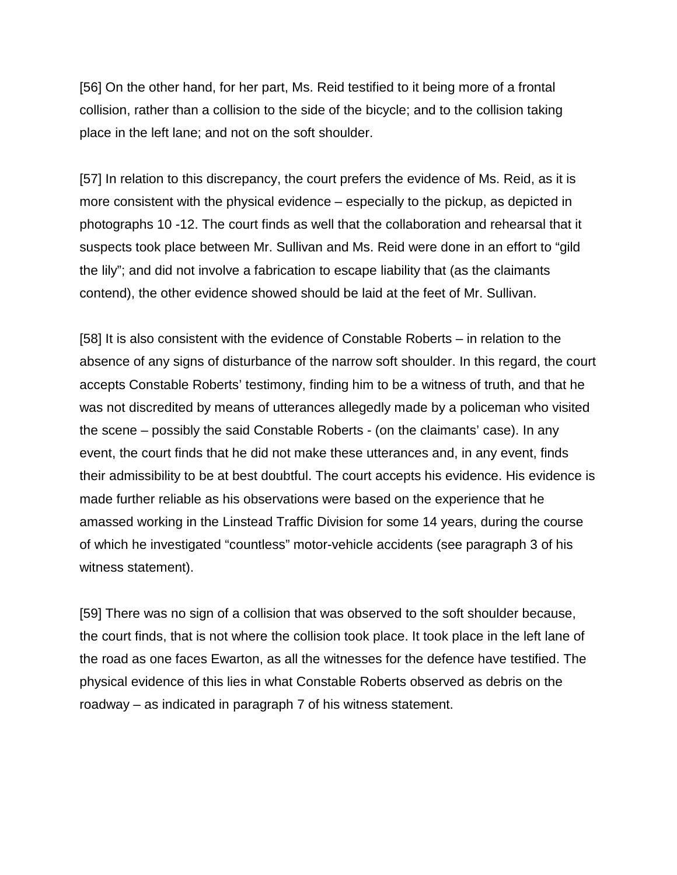[56] On the other hand, for her part, Ms. Reid testified to it being more of a frontal collision, rather than a collision to the side of the bicycle; and to the collision taking place in the left lane; and not on the soft shoulder.

[57] In relation to this discrepancy, the court prefers the evidence of Ms. Reid, as it is more consistent with the physical evidence – especially to the pickup, as depicted in photographs 10 -12. The court finds as well that the collaboration and rehearsal that it suspects took place between Mr. Sullivan and Ms. Reid were done in an effort to "gild the lily"; and did not involve a fabrication to escape liability that (as the claimants contend), the other evidence showed should be laid at the feet of Mr. Sullivan.

[58] It is also consistent with the evidence of Constable Roberts – in relation to the absence of any signs of disturbance of the narrow soft shoulder. In this regard, the court accepts Constable Roberts' testimony, finding him to be a witness of truth, and that he was not discredited by means of utterances allegedly made by a policeman who visited the scene – possibly the said Constable Roberts - (on the claimants' case). In any event, the court finds that he did not make these utterances and, in any event, finds their admissibility to be at best doubtful. The court accepts his evidence. His evidence is made further reliable as his observations were based on the experience that he amassed working in the Linstead Traffic Division for some 14 years, during the course of which he investigated "countless" motor-vehicle accidents (see paragraph 3 of his witness statement).

[59] There was no sign of a collision that was observed to the soft shoulder because, the court finds, that is not where the collision took place. It took place in the left lane of the road as one faces Ewarton, as all the witnesses for the defence have testified. The physical evidence of this lies in what Constable Roberts observed as debris on the roadway – as indicated in paragraph 7 of his witness statement.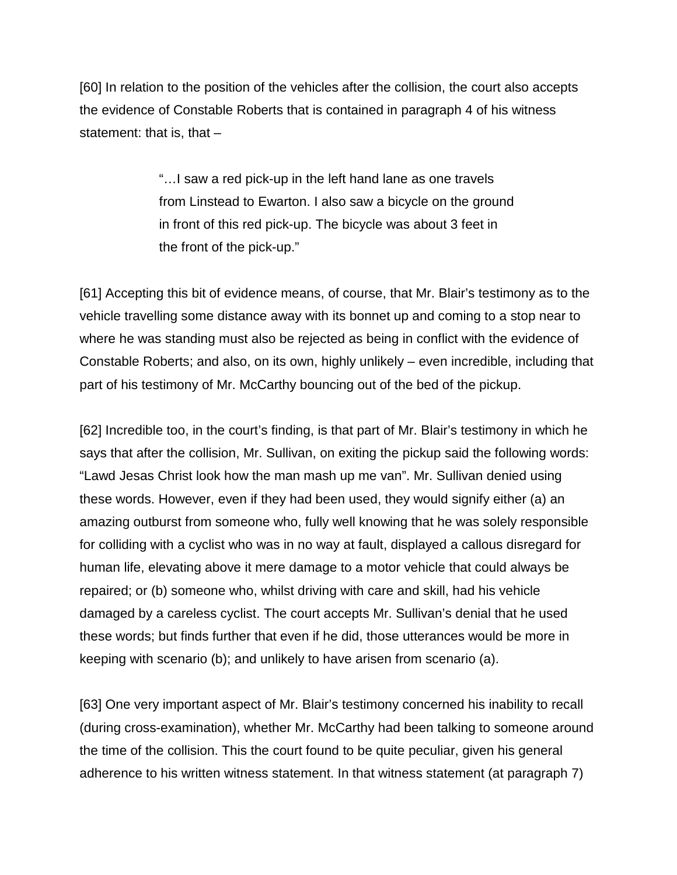[60] In relation to the position of the vehicles after the collision, the court also accepts the evidence of Constable Roberts that is contained in paragraph 4 of his witness statement: that is, that  $-$ 

> "…I saw a red pick-up in the left hand lane as one travels from Linstead to Ewarton. I also saw a bicycle on the ground in front of this red pick-up. The bicycle was about 3 feet in the front of the pick-up."

[61] Accepting this bit of evidence means, of course, that Mr. Blair's testimony as to the vehicle travelling some distance away with its bonnet up and coming to a stop near to where he was standing must also be rejected as being in conflict with the evidence of Constable Roberts; and also, on its own, highly unlikely – even incredible, including that part of his testimony of Mr. McCarthy bouncing out of the bed of the pickup.

[62] Incredible too, in the court's finding, is that part of Mr. Blair's testimony in which he says that after the collision, Mr. Sullivan, on exiting the pickup said the following words: "Lawd Jesas Christ look how the man mash up me van". Mr. Sullivan denied using these words. However, even if they had been used, they would signify either (a) an amazing outburst from someone who, fully well knowing that he was solely responsible for colliding with a cyclist who was in no way at fault, displayed a callous disregard for human life, elevating above it mere damage to a motor vehicle that could always be repaired; or (b) someone who, whilst driving with care and skill, had his vehicle damaged by a careless cyclist. The court accepts Mr. Sullivan's denial that he used these words; but finds further that even if he did, those utterances would be more in keeping with scenario (b); and unlikely to have arisen from scenario (a).

[63] One very important aspect of Mr. Blair's testimony concerned his inability to recall (during cross-examination), whether Mr. McCarthy had been talking to someone around the time of the collision. This the court found to be quite peculiar, given his general adherence to his written witness statement. In that witness statement (at paragraph 7)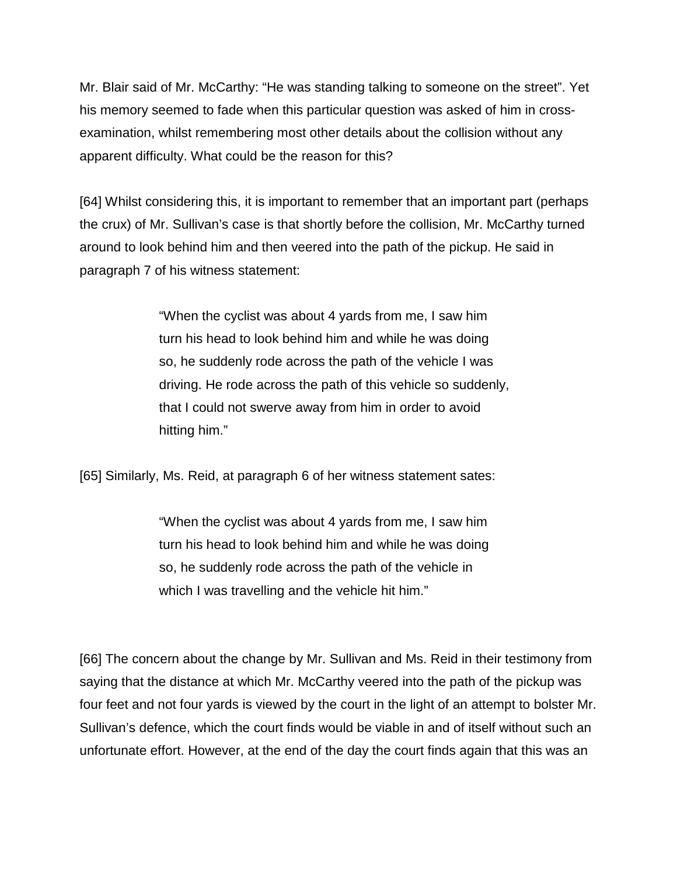Mr. Blair said of Mr. McCarthy: "He was standing talking to someone on the street". Yet his memory seemed to fade when this particular question was asked of him in crossexamination, whilst remembering most other details about the collision without any apparent difficulty. What could be the reason for this?

[64] Whilst considering this, it is important to remember that an important part (perhaps the crux) of Mr. Sullivan's case is that shortly before the collision, Mr. McCarthy turned around to look behind him and then veered into the path of the pickup. He said in paragraph 7 of his witness statement:

> "When the cyclist was about 4 yards from me, I saw him turn his head to look behind him and while he was doing so, he suddenly rode across the path of the vehicle I was driving. He rode across the path of this vehicle so suddenly, that I could not swerve away from him in order to avoid hitting him."

[65] Similarly, Ms. Reid, at paragraph 6 of her witness statement sates:

"When the cyclist was about 4 yards from me, I saw him turn his head to look behind him and while he was doing so, he suddenly rode across the path of the vehicle in which I was travelling and the vehicle hit him."

[66] The concern about the change by Mr. Sullivan and Ms. Reid in their testimony from saying that the distance at which Mr. McCarthy veered into the path of the pickup was four feet and not four yards is viewed by the court in the light of an attempt to bolster Mr. Sullivan's defence, which the court finds would be viable in and of itself without such an unfortunate effort. However, at the end of the day the court finds again that this was an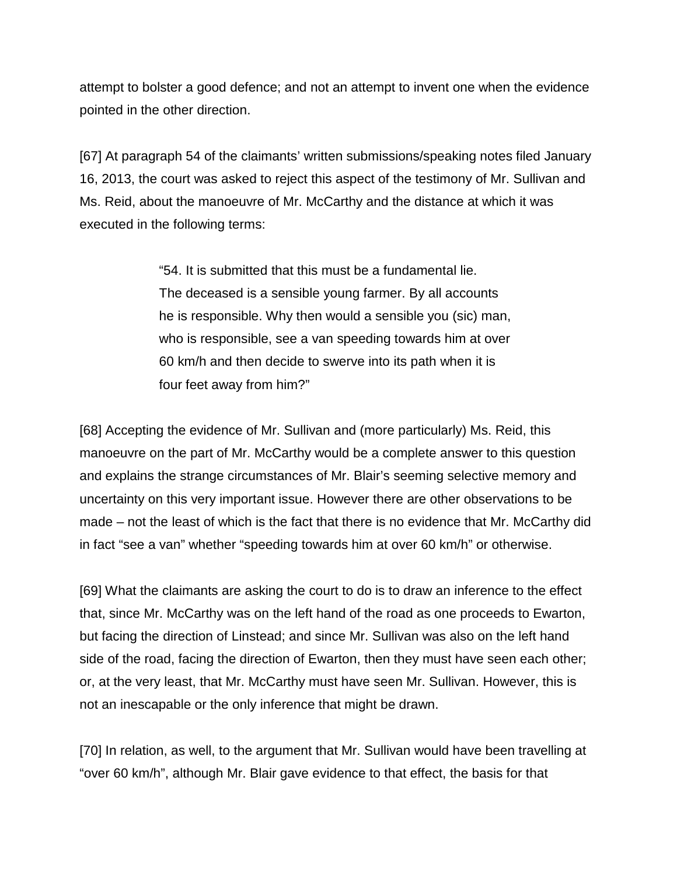attempt to bolster a good defence; and not an attempt to invent one when the evidence pointed in the other direction.

[67] At paragraph 54 of the claimants' written submissions/speaking notes filed January 16, 2013, the court was asked to reject this aspect of the testimony of Mr. Sullivan and Ms. Reid, about the manoeuvre of Mr. McCarthy and the distance at which it was executed in the following terms:

> "54. It is submitted that this must be a fundamental lie. The deceased is a sensible young farmer. By all accounts he is responsible. Why then would a sensible you (sic) man, who is responsible, see a van speeding towards him at over 60 km/h and then decide to swerve into its path when it is four feet away from him?"

[68] Accepting the evidence of Mr. Sullivan and (more particularly) Ms. Reid, this manoeuvre on the part of Mr. McCarthy would be a complete answer to this question and explains the strange circumstances of Mr. Blair's seeming selective memory and uncertainty on this very important issue. However there are other observations to be made – not the least of which is the fact that there is no evidence that Mr. McCarthy did in fact "see a van" whether "speeding towards him at over 60 km/h" or otherwise.

[69] What the claimants are asking the court to do is to draw an inference to the effect that, since Mr. McCarthy was on the left hand of the road as one proceeds to Ewarton, but facing the direction of Linstead; and since Mr. Sullivan was also on the left hand side of the road, facing the direction of Ewarton, then they must have seen each other; or, at the very least, that Mr. McCarthy must have seen Mr. Sullivan. However, this is not an inescapable or the only inference that might be drawn.

[70] In relation, as well, to the argument that Mr. Sullivan would have been travelling at "over 60 km/h", although Mr. Blair gave evidence to that effect, the basis for that